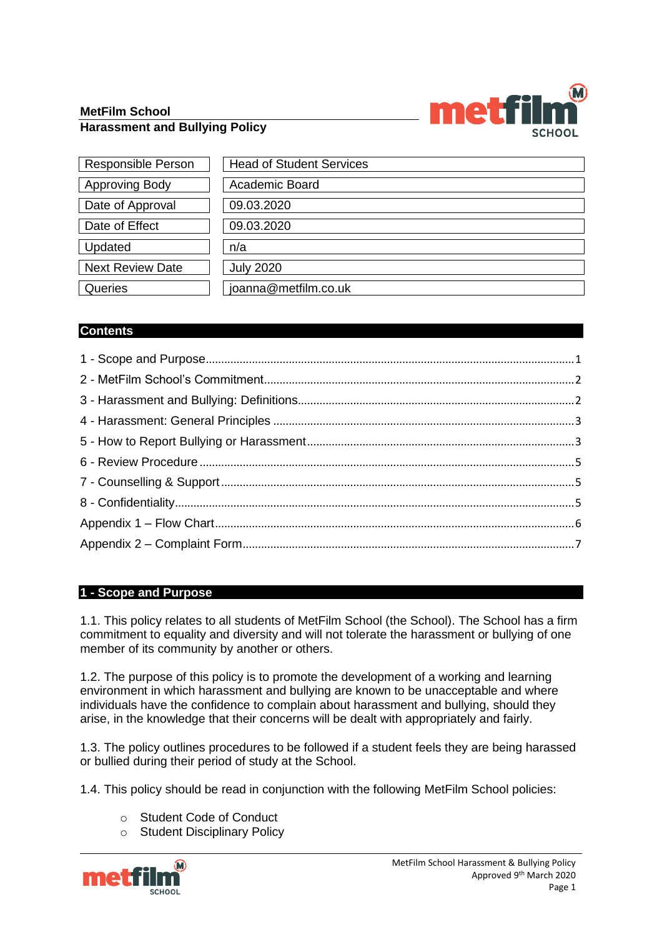## **MetFilm School Harassment and Bullying Policy**



| <b>Responsible Person</b> | <b>Head of Student Services</b> |
|---------------------------|---------------------------------|
| <b>Approving Body</b>     | Academic Board                  |
| Date of Approval          | 09.03.2020                      |
| Date of Effect            | 09.03.2020                      |
| Updated                   | n/a                             |
| <b>Next Review Date</b>   | <b>July 2020</b>                |
| Queries                   | joanna@metfilm.co.uk            |

## **Contents**

## <span id="page-0-0"></span>**1 - Scope and Purpose**

1.1. This policy relates to all students of MetFilm School (the School). The School has a firm commitment to equality and diversity and will not tolerate the harassment or bullying of one member of its community by another or others.

1.2. The purpose of this policy is to promote the development of a working and learning environment in which harassment and bullying are known to be unacceptable and where individuals have the confidence to complain about harassment and bullying, should they arise, in the knowledge that their concerns will be dealt with appropriately and fairly.

1.3. The policy outlines procedures to be followed if a student feels they are being harassed or bullied during their period of study at the School.

1.4. This policy should be read in conjunction with the following MetFilm School policies:

- o Student Code of Conduct
- o Student Disciplinary Policy

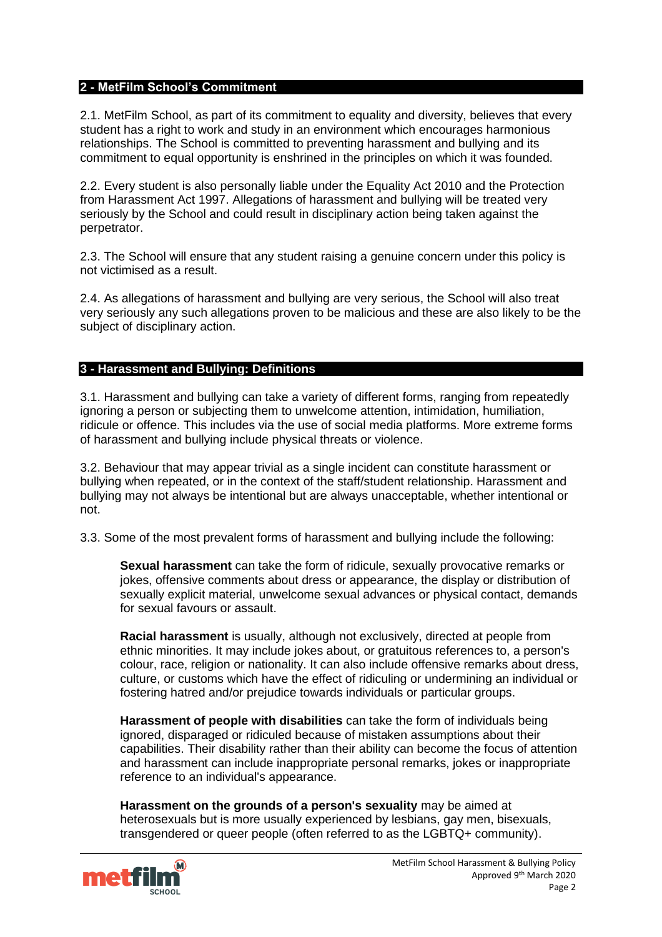#### <span id="page-1-0"></span>**2 - MetFilm School's Commitment**

2.1. MetFilm School, as part of its commitment to equality and diversity, believes that every student has a right to work and study in an environment which encourages harmonious relationships. The School is committed to preventing harassment and bullying and its commitment to equal opportunity is enshrined in the principles on which it was founded.

2.2. Every student is also personally liable under the Equality Act 2010 and the Protection from Harassment Act 1997. Allegations of harassment and bullying will be treated very seriously by the School and could result in disciplinary action being taken against the perpetrator.

2.3. The School will ensure that any student raising a genuine concern under this policy is not victimised as a result.

2.4. As allegations of harassment and bullying are very serious, the School will also treat very seriously any such allegations proven to be malicious and these are also likely to be the subject of disciplinary action.

#### <span id="page-1-1"></span>**3 - Harassment and Bullying: Definitions**

3.1. Harassment and bullying can take a variety of different forms, ranging from repeatedly ignoring a person or subjecting them to unwelcome attention, intimidation, humiliation, ridicule or offence. This includes via the use of social media platforms. More extreme forms of harassment and bullying include physical threats or violence.

3.2. Behaviour that may appear trivial as a single incident can constitute harassment or bullying when repeated, or in the context of the staff/student relationship. Harassment and bullying may not always be intentional but are always unacceptable, whether intentional or not.

3.3. Some of the most prevalent forms of harassment and bullying include the following:

**Sexual harassment** can take the form of ridicule, sexually provocative remarks or jokes, offensive comments about dress or appearance, the display or distribution of sexually explicit material, unwelcome sexual advances or physical contact, demands for sexual favours or assault.

**Racial harassment** is usually, although not exclusively, directed at people from ethnic minorities. It may include jokes about, or gratuitous references to, a person's colour, race, religion or nationality. It can also include offensive remarks about dress, culture, or customs which have the effect of ridiculing or undermining an individual or fostering hatred and/or prejudice towards individuals or particular groups.

**Harassment of people with disabilities** can take the form of individuals being ignored, disparaged or ridiculed because of mistaken assumptions about their capabilities. Their disability rather than their ability can become the focus of attention and harassment can include inappropriate personal remarks, jokes or inappropriate reference to an individual's appearance.

**Harassment on the grounds of a person's sexuality** may be aimed at heterosexuals but is more usually experienced by lesbians, gay men, bisexuals, transgendered or queer people (often referred to as the LGBTQ+ community).

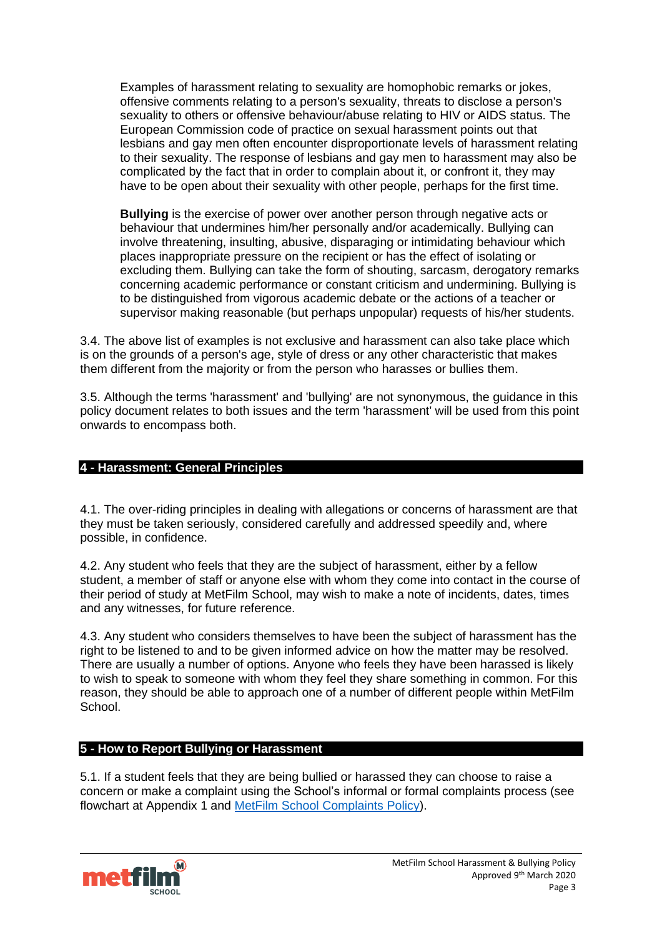Examples of harassment relating to sexuality are homophobic remarks or jokes, offensive comments relating to a person's sexuality, threats to disclose a person's sexuality to others or offensive behaviour/abuse relating to HIV or AIDS status. The European Commission code of practice on sexual harassment points out that lesbians and gay men often encounter disproportionate levels of harassment relating to their sexuality. The response of lesbians and gay men to harassment may also be complicated by the fact that in order to complain about it, or confront it, they may have to be open about their sexuality with other people, perhaps for the first time.

**Bullying** is the exercise of power over another person through negative acts or behaviour that undermines him/her personally and/or academically. Bullying can involve threatening, insulting, abusive, disparaging or intimidating behaviour which places inappropriate pressure on the recipient or has the effect of isolating or excluding them. Bullying can take the form of shouting, sarcasm, derogatory remarks concerning academic performance or constant criticism and undermining. Bullying is to be distinguished from vigorous academic debate or the actions of a teacher or supervisor making reasonable (but perhaps unpopular) requests of his/her students.

3.4. The above list of examples is not exclusive and harassment can also take place which is on the grounds of a person's age, style of dress or any other characteristic that makes them different from the majority or from the person who harasses or bullies them.

3.5. Although the terms 'harassment' and 'bullying' are not synonymous, the guidance in this policy document relates to both issues and the term 'harassment' will be used from this point onwards to encompass both.

## <span id="page-2-0"></span>**4 - Harassment: General Principles**

4.1. The over-riding principles in dealing with allegations or concerns of harassment are that they must be taken seriously, considered carefully and addressed speedily and, where possible, in confidence.

4.2. Any student who feels that they are the subject of harassment, either by a fellow student, a member of staff or anyone else with whom they come into contact in the course of their period of study at MetFilm School, may wish to make a note of incidents, dates, times and any witnesses, for future reference.

4.3. Any student who considers themselves to have been the subject of harassment has the right to be listened to and to be given informed advice on how the matter may be resolved. There are usually a number of options. Anyone who feels they have been harassed is likely to wish to speak to someone with whom they feel they share something in common. For this reason, they should be able to approach one of a number of different people within MetFilm School.

#### <span id="page-2-1"></span>**5 - How to Report Bullying or Harassment**

5.1. If a student feels that they are being bullied or harassed they can choose to raise a concern or make a complaint using the School's informal or formal complaints process (see flowchart at Appendix 1 and [MetFilm School Complaints Policy\)](https://nw1761q175jkp2hnjhhmmlth-wpengine.netdna-ssl.com/wp-content/uploads/2019/09/Student-Concerns-Complaints-Appeals-Policy-19-09-16_MetFilm-School.pdf).

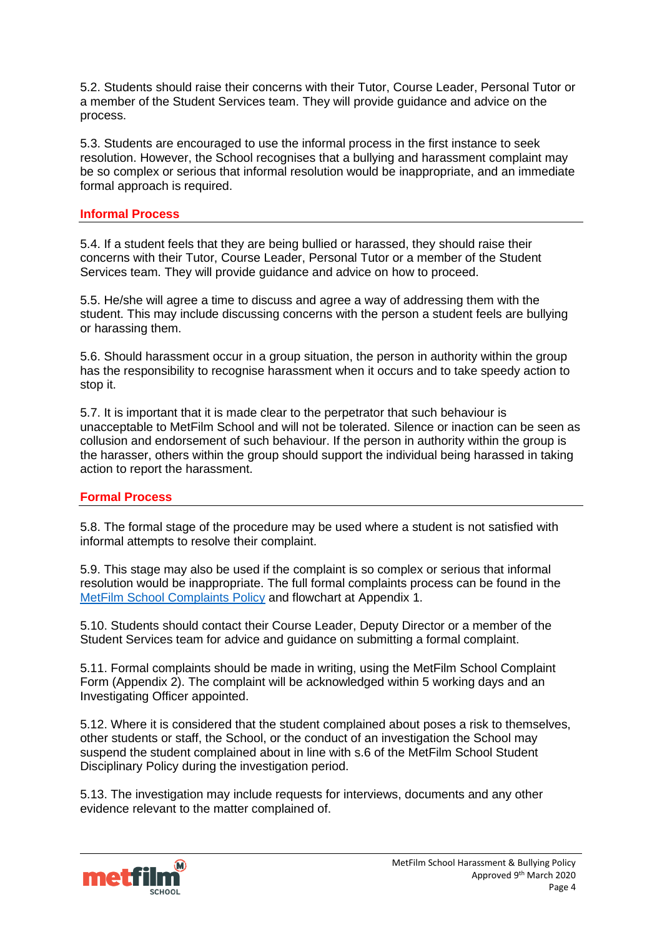5.2. Students should raise their concerns with their Tutor, Course Leader, Personal Tutor or a member of the Student Services team. They will provide guidance and advice on the process.

5.3. Students are encouraged to use the informal process in the first instance to seek resolution. However, the School recognises that a bullying and harassment complaint may be so complex or serious that informal resolution would be inappropriate, and an immediate formal approach is required.

## **Informal Process**

5.4. If a student feels that they are being bullied or harassed, they should raise their concerns with their Tutor, Course Leader, Personal Tutor or a member of the Student Services team. They will provide guidance and advice on how to proceed.

5.5. He/she will agree a time to discuss and agree a way of addressing them with the student. This may include discussing concerns with the person a student feels are bullying or harassing them.

5.6. Should harassment occur in a group situation, the person in authority within the group has the responsibility to recognise harassment when it occurs and to take speedy action to stop it.

5.7. It is important that it is made clear to the perpetrator that such behaviour is unacceptable to MetFilm School and will not be tolerated. Silence or inaction can be seen as collusion and endorsement of such behaviour. If the person in authority within the group is the harasser, others within the group should support the individual being harassed in taking action to report the harassment.

#### **Formal Process**

5.8. The formal stage of the procedure may be used where a student is not satisfied with informal attempts to resolve their complaint.

5.9. This stage may also be used if the complaint is so complex or serious that informal resolution would be inappropriate. The full formal complaints process can be found in the [MetFilm School Complaints Policy](https://nw1761q175jkp2hnjhhmmlth-wpengine.netdna-ssl.com/wp-content/uploads/2019/09/Student-Concerns-Complaints-Appeals-Policy-19-09-16_MetFilm-School.pdf) and flowchart at Appendix 1.

5.10. Students should contact their Course Leader, Deputy Director or a member of the Student Services team for advice and guidance on submitting a formal complaint.

5.11. Formal complaints should be made in writing, using the MetFilm School Complaint Form (Appendix 2). The complaint will be acknowledged within 5 working days and an Investigating Officer appointed.

5.12. Where it is considered that the student complained about poses a risk to themselves, other students or staff, the School, or the conduct of an investigation the School may suspend the student complained about in line with s.6 of the MetFilm School Student Disciplinary Policy during the investigation period.

5.13. The investigation may include requests for interviews, documents and any other evidence relevant to the matter complained of.

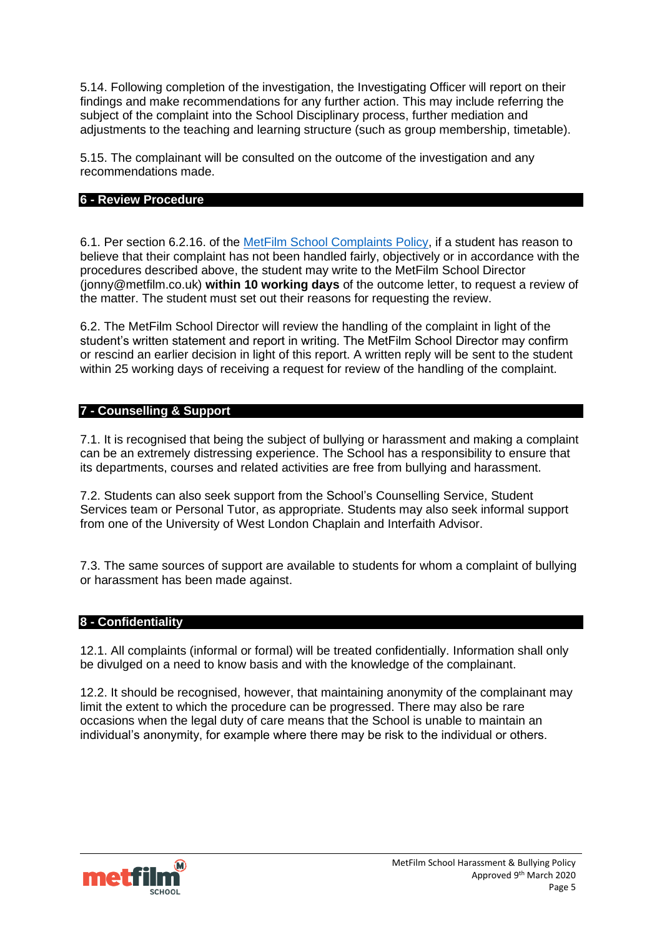5.14. Following completion of the investigation, the Investigating Officer will report on their findings and make recommendations for any further action. This may include referring the subject of the complaint into the School Disciplinary process, further mediation and adjustments to the teaching and learning structure (such as group membership, timetable).

5.15. The complainant will be consulted on the outcome of the investigation and any recommendations made.

#### <span id="page-4-0"></span>**6 - Review Procedure**

6.1. Per section 6.2.16. of the MetFilm School [Complaints Policy,](https://nw1761q175jkp2hnjhhmmlth-wpengine.netdna-ssl.com/wp-content/uploads/2019/09/Student-Concerns-Complaints-Appeals-Policy-19-09-16_MetFilm-School.pdf) if a student has reason to believe that their complaint has not been handled fairly, objectively or in accordance with the procedures described above, the student may write to the MetFilm School Director (jonny@metfilm.co.uk) **within 10 working days** of the outcome letter, to request a review of the matter. The student must set out their reasons for requesting the review.

6.2. The MetFilm School Director will review the handling of the complaint in light of the student's written statement and report in writing. The MetFilm School Director may confirm or rescind an earlier decision in light of this report. A written reply will be sent to the student within 25 working days of receiving a request for review of the handling of the complaint.

## <span id="page-4-1"></span>**7 - Counselling & Support**

7.1. It is recognised that being the subject of bullying or harassment and making a complaint can be an extremely distressing experience. The School has a responsibility to ensure that its departments, courses and related activities are free from bullying and harassment.

7.2. Students can also seek support from the School's Counselling Service, Student Services team or Personal Tutor, as appropriate. Students may also seek informal support from one of the University of West London Chaplain and Interfaith Advisor.

7.3. The same sources of support are available to students for whom a complaint of bullying or harassment has been made against.

## <span id="page-4-2"></span>**8 - Confidentiality**

12.1. All complaints (informal or formal) will be treated confidentially. Information shall only be divulged on a need to know basis and with the knowledge of the complainant.

12.2. It should be recognised, however, that maintaining anonymity of the complainant may limit the extent to which the procedure can be progressed. There may also be rare occasions when the legal duty of care means that the School is unable to maintain an individual's anonymity, for example where there may be risk to the individual or others.

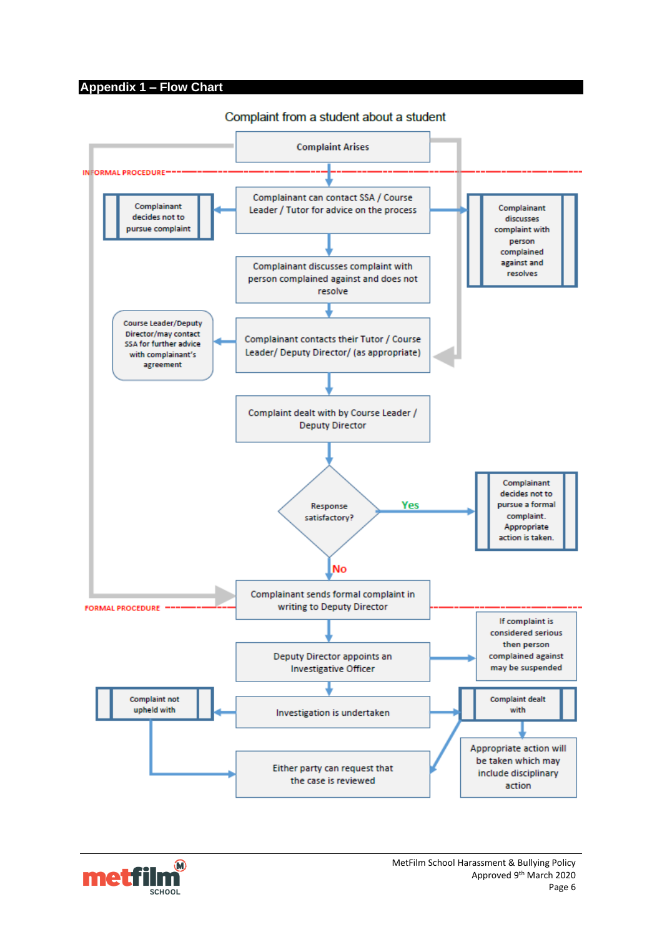#### <span id="page-5-0"></span>**Appendix 1 – Flow Chart**



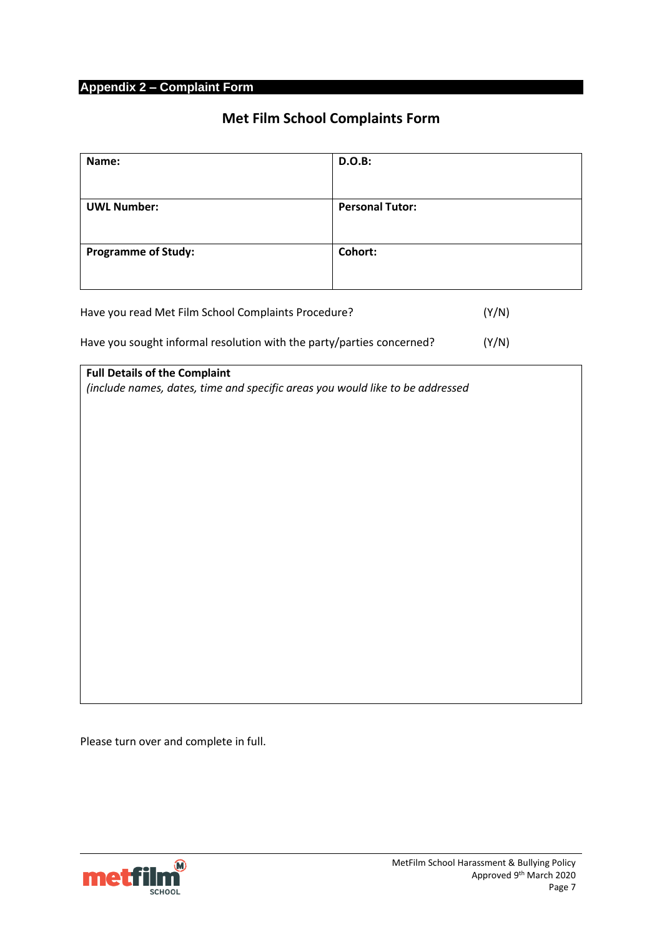## <span id="page-6-0"></span>**Appendix 2 – Complaint Form**

# **Met Film School Complaints Form**

| Name:                                                                 | D.O.B:                 |       |
|-----------------------------------------------------------------------|------------------------|-------|
| <b>UWL Number:</b>                                                    | <b>Personal Tutor:</b> |       |
|                                                                       |                        |       |
| <b>Programme of Study:</b>                                            | Cohort:                |       |
|                                                                       |                        |       |
| Have you read Met Film School Complaints Procedure?                   |                        | (Y/N) |
| Have you sought informal resolution with the party/parties concerned? |                        | (Y/N) |

| <b>Full Details of the Complaint</b>                                          |  |  |
|-------------------------------------------------------------------------------|--|--|
| (include names, dates, time and specific areas you would like to be addressed |  |  |
|                                                                               |  |  |
|                                                                               |  |  |
|                                                                               |  |  |
|                                                                               |  |  |
|                                                                               |  |  |
|                                                                               |  |  |
|                                                                               |  |  |
|                                                                               |  |  |
|                                                                               |  |  |
|                                                                               |  |  |
|                                                                               |  |  |
|                                                                               |  |  |
|                                                                               |  |  |
|                                                                               |  |  |
|                                                                               |  |  |
|                                                                               |  |  |
|                                                                               |  |  |
|                                                                               |  |  |
|                                                                               |  |  |
|                                                                               |  |  |

Please turn over and complete in full.